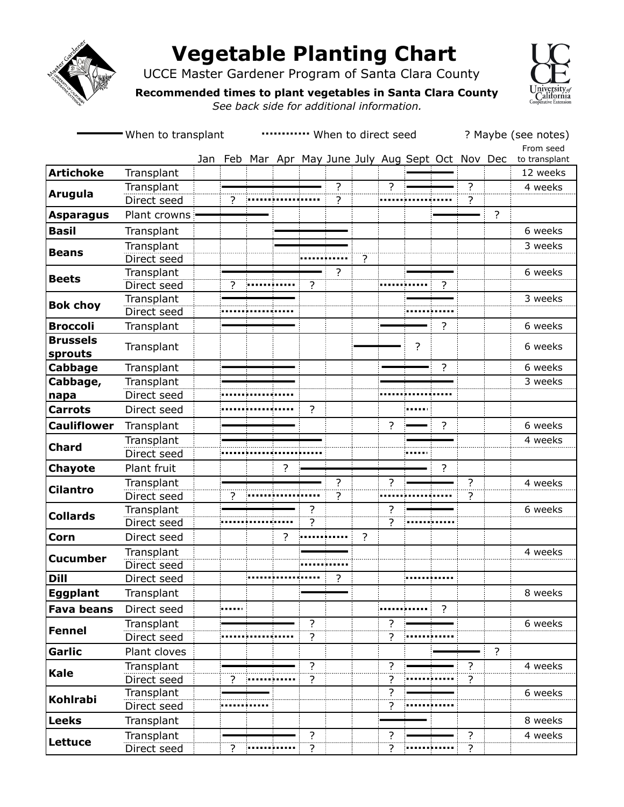

**Kale**

**Kohlrabi**

**Lettuce**

# **Vegetable Planting Chart**

UCCE Master Gardener Program of Santa Clara County



**Recommended times to plant vegetables in Santa Clara County** 

*See back side for additional information.*

|                            | -When to transplant | When to direct seed |   |  |                |                |                                                |                |                          |                |                | ? Maybe (see notes)<br>From seed |   |               |
|----------------------------|---------------------|---------------------|---|--|----------------|----------------|------------------------------------------------|----------------|--------------------------|----------------|----------------|----------------------------------|---|---------------|
|                            |                     | Jan                 |   |  |                |                | Feb Mar Apr May June July Aug Sept Oct Nov Dec |                |                          |                |                |                                  |   | to transplant |
| <b>Artichoke</b>           | Transplant          |                     |   |  |                |                |                                                |                |                          |                |                |                                  |   | 12 weeks      |
| <b>Arugula</b>             | Transplant          |                     |   |  |                |                | ?                                              |                | $\overline{\phantom{a}}$ |                |                | ?                                |   | 4 weeks       |
|                            | Direct seed         |                     | ? |  |                |                | 2                                              |                |                          |                |                | .<br>?                           |   |               |
| <b>Asparagus</b>           | Plant crowns        |                     |   |  |                |                |                                                |                |                          |                |                |                                  | ? |               |
| <b>Basil</b>               | Transplant          |                     |   |  |                |                |                                                |                |                          |                |                |                                  |   | 6 weeks       |
| <b>Beans</b>               | Transplant          |                     |   |  |                |                |                                                |                |                          |                |                |                                  |   | 3 weeks       |
|                            | Direct seed         |                     |   |  |                |                |                                                | 2              |                          |                |                |                                  |   |               |
|                            | Transplant          |                     |   |  |                |                | ?                                              |                |                          |                |                |                                  |   | 6 weeks       |
| <b>Beets</b>               | Direct seed         |                     | ? |  |                | ?              |                                                |                |                          |                | ?              |                                  |   |               |
| <b>Bok choy</b>            | Transplant          |                     |   |  |                |                |                                                |                |                          |                |                |                                  |   | 3 weeks       |
|                            | Direct seed         |                     |   |  |                |                |                                                |                |                          |                |                |                                  |   |               |
| <b>Broccoli</b>            | Transplant          |                     |   |  |                |                |                                                |                |                          |                | ?              |                                  |   | 6 weeks       |
| <b>Brussels</b><br>sprouts | Transplant          |                     |   |  |                |                |                                                |                |                          | $\overline{?}$ |                |                                  |   | 6 weeks       |
| Cabbage                    | Transplant          |                     |   |  |                |                |                                                |                |                          |                | ?              |                                  |   | 6 weeks       |
| Cabbage,                   | Transplant          |                     |   |  |                |                |                                                |                |                          |                |                |                                  |   | 3 weeks       |
| napa                       | Direct seed         |                     |   |  |                |                |                                                |                |                          |                |                |                                  |   |               |
| <b>Carrots</b>             | Direct seed         |                     |   |  |                | $\overline{?}$ |                                                |                |                          |                |                |                                  |   |               |
| <b>Cauliflower</b>         | Transplant          |                     |   |  |                |                |                                                |                | ?                        |                | ?              |                                  |   | 6 weeks       |
|                            | Transplant          |                     |   |  |                |                |                                                |                |                          |                |                |                                  |   | 4 weeks       |
| <b>Chard</b>               | Direct seed         |                     |   |  |                |                |                                                |                |                          |                |                |                                  |   |               |
| Chayote                    | Plant fruit         |                     |   |  | ?              |                |                                                |                |                          |                | $\overline{?}$ |                                  |   |               |
| <b>Cilantro</b>            | Transplant          |                     |   |  |                |                | ?                                              |                | ?                        |                |                | ?                                |   | 4 weeks       |
|                            | Direct seed         |                     | ? |  |                |                | ?                                              |                |                          |                |                | ?                                |   |               |
| <b>Collards</b>            | Transplant          |                     |   |  |                | 7              |                                                |                | ?                        |                |                |                                  |   | 6 weeks       |
|                            | Direct seed         |                     |   |  |                | ?              |                                                |                | ?                        |                |                |                                  |   |               |
| Corn                       | Direct seed         |                     |   |  | $\overline{?}$ |                |                                                | $\overline{?}$ |                          |                |                |                                  |   |               |
| <b>Cucumber</b>            | Transplant          |                     |   |  |                |                |                                                |                |                          |                |                |                                  |   | 4 weeks       |
|                            | Direct seed         |                     |   |  |                |                |                                                |                |                          |                |                |                                  |   |               |
| <b>Dill</b>                | Direct seed         |                     |   |  |                |                | ?                                              |                |                          |                |                |                                  |   |               |
| Eggplant                   | Transplant          |                     |   |  |                |                |                                                |                |                          |                |                |                                  |   | 8 weeks       |
| <b>Fava beans</b>          | Direct seed         |                     |   |  |                |                |                                                |                |                          |                | $\overline{?}$ |                                  |   |               |
|                            | Transplant          |                     |   |  |                | ?              |                                                |                | ?                        |                |                |                                  |   | 6 weeks       |
| <b>Fennel</b>              |                     |                     |   |  |                |                |                                                |                |                          |                |                |                                  |   |               |

Direct seed ? ?

Direct seed **Product in the contract of the contract of the contract of the contract of the contract of the contract of the contract of the contract of the contract of the contract of the contract of the contract of the co** 

**Garlic** Plant cloves ?

Direct seed **? Product ? Product ? Product ? Product ? Product ? Product ? Product ? Product ? Product ? Product ? Product ? Product ? Product ? Product ? Product**

**Leeks** Transplant | | | | | | | | | | | | | | | 8 weeks

Direct seed ? ? ? ?

Transplant ? ? ? 4 weeks

:......**.......** 

.................

Transplant ? 6 weeks

Transplant ? ? ? 4 weeks